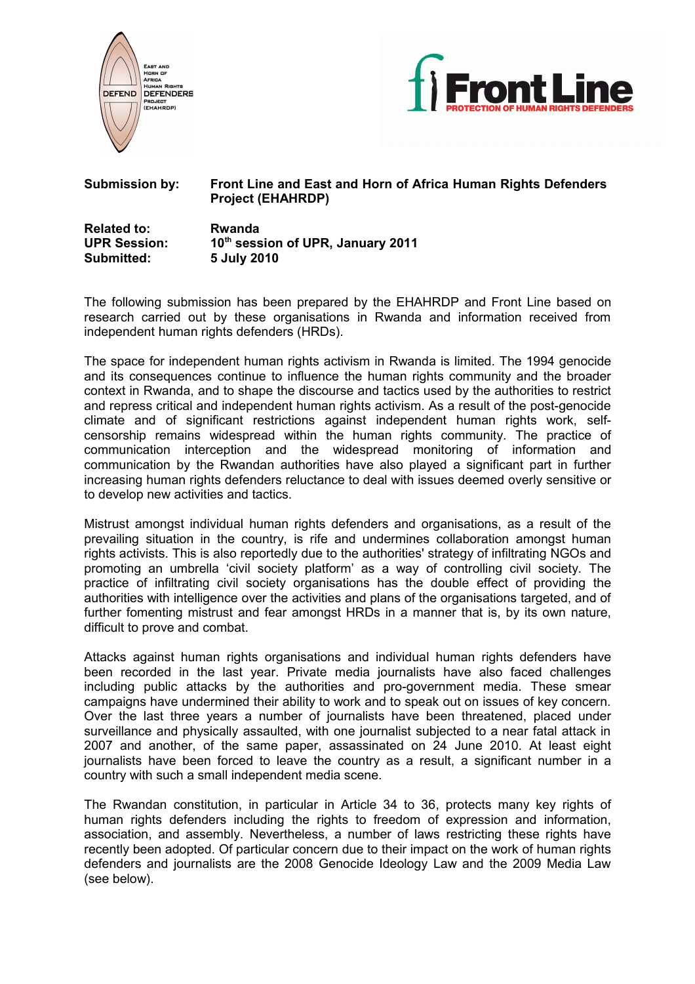



# **Submission by: Front Line and East and Horn of Africa Human Rights Defenders Project (EHAHRDP)**

| <b>Related to:</b>  | Rwanda                            |
|---------------------|-----------------------------------|
| <b>UPR Session:</b> | 10th session of UPR, January 2011 |
| Submitted:          | 5 July 2010                       |

The following submission has been prepared by the EHAHRDP and Front Line based on research carried out by these organisations in Rwanda and information received from independent human rights defenders (HRDs).

The space for independent human rights activism in Rwanda is limited. The 1994 genocide and its consequences continue to influence the human rights community and the broader context in Rwanda, and to shape the discourse and tactics used by the authorities to restrict and repress critical and independent human rights activism. As a result of the post-genocide climate and of significant restrictions against independent human rights work, selfcensorship remains widespread within the human rights community. The practice of communication interception and the widespread monitoring of information and communication by the Rwandan authorities have also played a significant part in further increasing human rights defenders reluctance to deal with issues deemed overly sensitive or to develop new activities and tactics.

Mistrust amongst individual human rights defenders and organisations, as a result of the prevailing situation in the country, is rife and undermines collaboration amongst human rights activists. This is also reportedly due to the authorities' strategy of infiltrating NGOs and promoting an umbrella 'civil society platform' as a way of controlling civil society. The practice of infiltrating civil society organisations has the double effect of providing the authorities with intelligence over the activities and plans of the organisations targeted, and of further fomenting mistrust and fear amongst HRDs in a manner that is, by its own nature, difficult to prove and combat.

Attacks against human rights organisations and individual human rights defenders have been recorded in the last year. Private media journalists have also faced challenges including public attacks by the authorities and pro-government media. These smear campaigns have undermined their ability to work and to speak out on issues of key concern. Over the last three years a number of journalists have been threatened, placed under surveillance and physically assaulted, with one journalist subjected to a near fatal attack in 2007 and another, of the same paper, assassinated on 24 June 2010. At least eight journalists have been forced to leave the country as a result, a significant number in a country with such a small independent media scene.

The Rwandan constitution, in particular in Article 34 to 36, protects many key rights of human rights defenders including the rights to freedom of expression and information, association, and assembly. Nevertheless, a number of laws restricting these rights have recently been adopted. Of particular concern due to their impact on the work of human rights defenders and journalists are the 2008 Genocide Ideology Law and the 2009 Media Law (see below).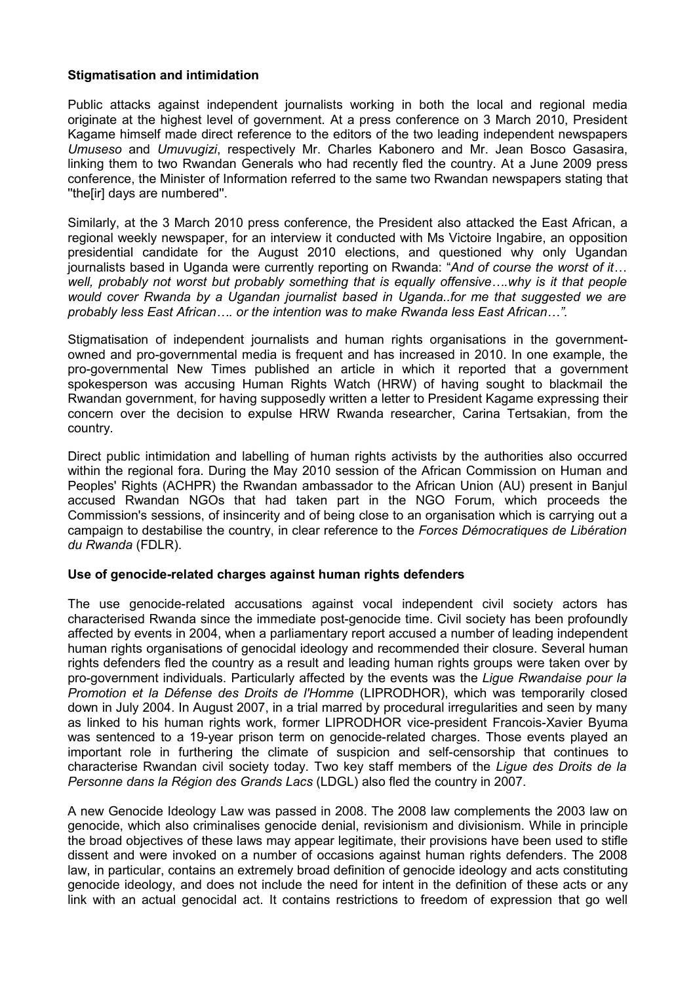### **Stigmatisation and intimidation**

Public attacks against independent journalists working in both the local and regional media originate at the highest level of government. At a press conference on 3 March 2010, President Kagame himself made direct reference to the editors of the two leading independent newspapers *Umuseso* and *Umuvugizi*, respectively Mr. Charles Kabonero and Mr. Jean Bosco Gasasira, linking them to two Rwandan Generals who had recently fled the country. At a June 2009 press conference, the Minister of Information referred to the same two Rwandan newspapers stating that ''the[ir] days are numbered''.

Similarly, at the 3 March 2010 press conference, the President also attacked the East African, a regional weekly newspaper, for an interview it conducted with Ms Victoire Ingabire, an opposition presidential candidate for the August 2010 elections, and questioned why only Ugandan journalists based in Uganda were currently reporting on Rwanda: "*And of course the worst of it… well, probably not worst but probably something that is equally offensive….why is it that people would cover Rwanda by a Ugandan journalist based in Uganda..for me that suggested we are probably less East African…. or the intention was to make Rwanda less East African…".* 

Stigmatisation of independent journalists and human rights organisations in the governmentowned and pro-governmental media is frequent and has increased in 2010. In one example, the pro-governmental New Times published an article in which it reported that a government spokesperson was accusing Human Rights Watch (HRW) of having sought to blackmail the Rwandan government, for having supposedly written a letter to President Kagame expressing their concern over the decision to expulse HRW Rwanda researcher, Carina Tertsakian, from the country.

Direct public intimidation and labelling of human rights activists by the authorities also occurred within the regional fora. During the May 2010 session of the African Commission on Human and Peoples' Rights (ACHPR) the Rwandan ambassador to the African Union (AU) present in Banjul accused Rwandan NGOs that had taken part in the NGO Forum, which proceeds the Commission's sessions, of insincerity and of being close to an organisation which is carrying out a campaign to destabilise the country, in clear reference to the *Forces Démocratiques de Libération du Rwanda* (FDLR).

## **Use of genocide-related charges against human rights defenders**

The use genocide-related accusations against vocal independent civil society actors has characterised Rwanda since the immediate post-genocide time. Civil society has been profoundly affected by events in 2004, when a parliamentary report accused a number of leading independent human rights organisations of genocidal ideology and recommended their closure. Several human rights defenders fled the country as a result and leading human rights groups were taken over by pro-government individuals. Particularly affected by the events was the *Ligue Rwandaise pour la Promotion et la Défense des Droits de l'Homme* (LIPRODHOR), which was temporarily closed down in July 2004. In August 2007, in a trial marred by procedural irregularities and seen by many as linked to his human rights work, former LIPRODHOR vice-president Francois-Xavier Byuma was sentenced to a 19-year prison term on genocide-related charges. Those events played an important role in furthering the climate of suspicion and self-censorship that continues to characterise Rwandan civil society today. Two key staff members of the *Ligue des Droits de la Personne dans la Région des Grands Lacs* (LDGL) also fled the country in 2007.

A new Genocide Ideology Law was passed in 2008. The 2008 law complements the 2003 law on genocide, which also criminalises genocide denial, revisionism and divisionism. While in principle the broad objectives of these laws may appear legitimate, their provisions have been used to stifle dissent and were invoked on a number of occasions against human rights defenders. The 2008 law, in particular, contains an extremely broad definition of genocide ideology and acts constituting genocide ideology, and does not include the need for intent in the definition of these acts or any link with an actual genocidal act. It contains restrictions to freedom of expression that go well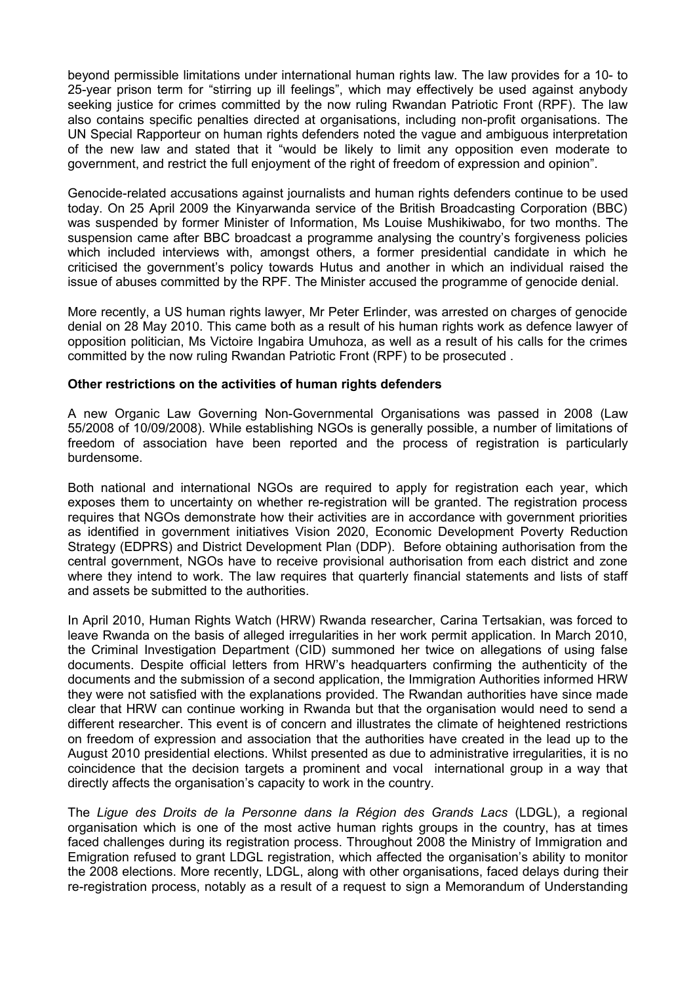beyond permissible limitations under international human rights law. The law provides for a 10- to 25-year prison term for "stirring up ill feelings", which may effectively be used against anybody seeking justice for crimes committed by the now ruling Rwandan Patriotic Front (RPF). The law also contains specific penalties directed at organisations, including non-profit organisations. The UN Special Rapporteur on human rights defenders noted the vague and ambiguous interpretation of the new law and stated that it "would be likely to limit any opposition even moderate to government, and restrict the full enjoyment of the right of freedom of expression and opinion".

Genocide-related accusations against journalists and human rights defenders continue to be used today. On 25 April 2009 the Kinyarwanda service of the British Broadcasting Corporation (BBC) was suspended by former Minister of Information, Ms Louise Mushikiwabo, for two months. The suspension came after BBC broadcast a programme analysing the country's forgiveness policies which included interviews with, amongst others, a former presidential candidate in which he criticised the government's policy towards Hutus and another in which an individual raised the issue of abuses committed by the RPF. The Minister accused the programme of genocide denial.

More recently, a US human rights lawyer, Mr Peter Erlinder, was arrested on charges of genocide denial on 28 May 2010. This came both as a result of his human rights work as defence lawyer of opposition politician, Ms Victoire Ingabira Umuhoza, as well as a result of his calls for the crimes committed by the now ruling Rwandan Patriotic Front (RPF) to be prosecuted .

#### **Other restrictions on the activities of human rights defenders**

A new Organic Law Governing Non-Governmental Organisations was passed in 2008 (Law 55/2008 of 10/09/2008). While establishing NGOs is generally possible, a number of limitations of freedom of association have been reported and the process of registration is particularly burdensome.

Both national and international NGOs are required to apply for registration each year, which exposes them to uncertainty on whether re-registration will be granted. The registration process requires that NGOs demonstrate how their activities are in accordance with government priorities as identified in government initiatives Vision 2020, Economic Development Poverty Reduction Strategy (EDPRS) and District Development Plan (DDP). Before obtaining authorisation from the central government, NGOs have to receive provisional authorisation from each district and zone where they intend to work. The law requires that quarterly financial statements and lists of staff and assets be submitted to the authorities.

In April 2010, Human Rights Watch (HRW) Rwanda researcher, Carina Tertsakian, was forced to leave Rwanda on the basis of alleged irregularities in her work permit application. In March 2010, the Criminal Investigation Department (CID) summoned her twice on allegations of using false documents. Despite official letters from HRW's headquarters confirming the authenticity of the documents and the submission of a second application, the Immigration Authorities informed HRW they were not satisfied with the explanations provided. The Rwandan authorities have since made clear that HRW can continue working in Rwanda but that the organisation would need to send a different researcher. This event is of concern and illustrates the climate of heightened restrictions on freedom of expression and association that the authorities have created in the lead up to the August 2010 presidential elections. Whilst presented as due to administrative irregularities, it is no coincidence that the decision targets a prominent and vocal international group in a way that directly affects the organisation's capacity to work in the country.

The *Ligue des Droits de la Personne dans la Région des Grands Lacs* (LDGL), a regional organisation which is one of the most active human rights groups in the country, has at times faced challenges during its registration process. Throughout 2008 the Ministry of Immigration and Emigration refused to grant LDGL registration, which affected the organisation's ability to monitor the 2008 elections. More recently, LDGL, along with other organisations, faced delays during their re-registration process, notably as a result of a request to sign a Memorandum of Understanding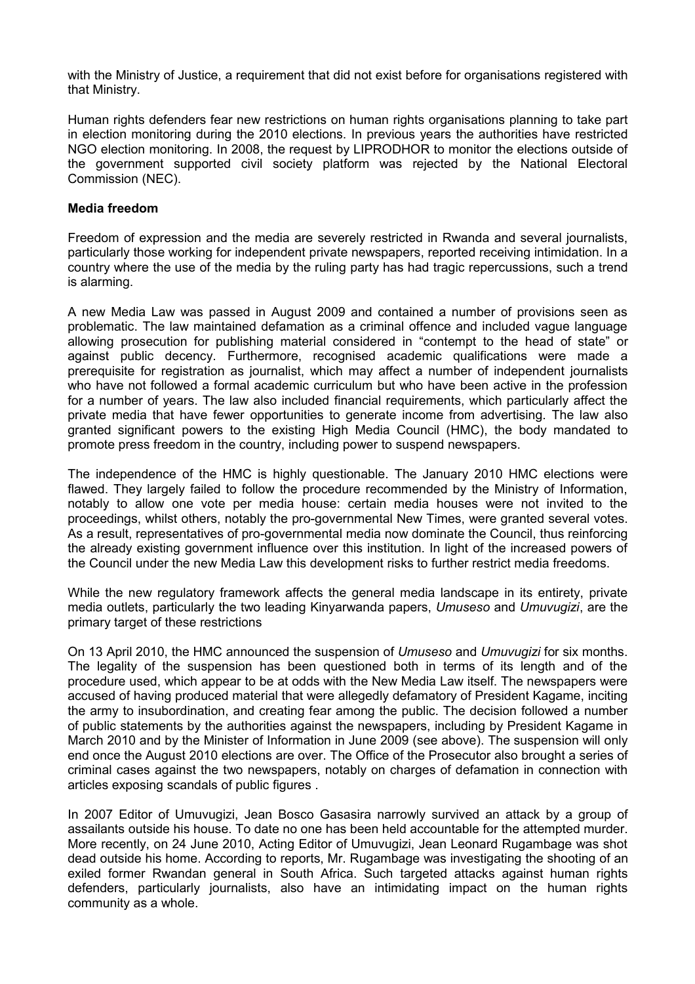with the Ministry of Justice, a requirement that did not exist before for organisations registered with that Ministry.

Human rights defenders fear new restrictions on human rights organisations planning to take part in election monitoring during the 2010 elections. In previous years the authorities have restricted NGO election monitoring. In 2008, the request by LIPRODHOR to monitor the elections outside of the government supported civil society platform was rejected by the National Electoral Commission (NEC).

#### **Media freedom**

Freedom of expression and the media are severely restricted in Rwanda and several journalists, particularly those working for independent private newspapers, reported receiving intimidation. In a country where the use of the media by the ruling party has had tragic repercussions, such a trend is alarming.

A new Media Law was passed in August 2009 and contained a number of provisions seen as problematic. The law maintained defamation as a criminal offence and included vague language allowing prosecution for publishing material considered in "contempt to the head of state" or against public decency. Furthermore, recognised academic qualifications were made a prerequisite for registration as journalist, which may affect a number of independent journalists who have not followed a formal academic curriculum but who have been active in the profession for a number of years. The law also included financial requirements, which particularly affect the private media that have fewer opportunities to generate income from advertising. The law also granted significant powers to the existing High Media Council (HMC), the body mandated to promote press freedom in the country, including power to suspend newspapers.

The independence of the HMC is highly questionable. The January 2010 HMC elections were flawed. They largely failed to follow the procedure recommended by the Ministry of Information, notably to allow one vote per media house: certain media houses were not invited to the proceedings, whilst others, notably the pro-governmental New Times, were granted several votes. As a result, representatives of pro-governmental media now dominate the Council, thus reinforcing the already existing government influence over this institution. In light of the increased powers of the Council under the new Media Law this development risks to further restrict media freedoms.

While the new regulatory framework affects the general media landscape in its entirety, private media outlets, particularly the two leading Kinyarwanda papers, *Umuseso* and *Umuvugizi*, are the primary target of these restrictions

On 13 April 2010, the HMC announced the suspension of *Umuseso* and *Umuvugizi* for six months. The legality of the suspension has been questioned both in terms of its length and of the procedure used, which appear to be at odds with the New Media Law itself. The newspapers were accused of having produced material that were allegedly defamatory of President Kagame, inciting the army to insubordination, and creating fear among the public. The decision followed a number of public statements by the authorities against the newspapers, including by President Kagame in March 2010 and by the Minister of Information in June 2009 (see above). The suspension will only end once the August 2010 elections are over. The Office of the Prosecutor also brought a series of criminal cases against the two newspapers, notably on charges of defamation in connection with articles exposing scandals of public figures .

In 2007 Editor of Umuvugizi, Jean Bosco Gasasira narrowly survived an attack by a group of assailants outside his house. To date no one has been held accountable for the attempted murder. More recently, on 24 June 2010, Acting Editor of Umuvugizi, Jean Leonard Rugambage was shot dead outside his home. According to reports, Mr. Rugambage was investigating the shooting of an exiled former Rwandan general in South Africa. Such targeted attacks against human rights defenders, particularly journalists, also have an intimidating impact on the human rights community as a whole.